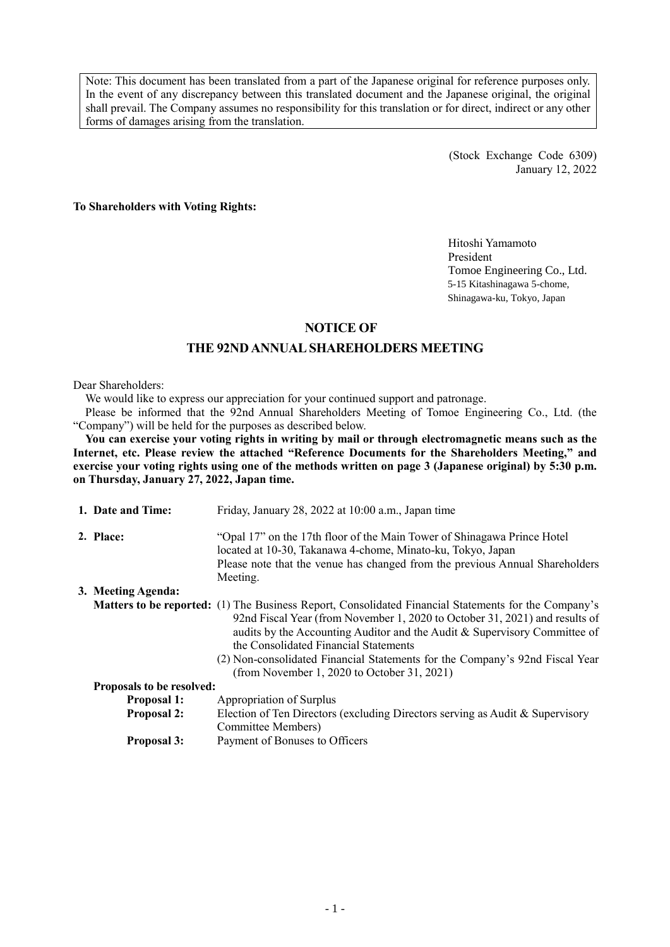Note: This document has been translated from a part of the Japanese original for reference purposes only. In the event of any discrepancy between this translated document and the Japanese original, the original shall prevail. The Company assumes no responsibility for this translation or for direct, indirect or any other forms of damages arising from the translation.

> (Stock Exchange Code 6309) January 12, 2022

**To Shareholders with Voting Rights:**

Hitoshi Yamamoto President Tomoe Engineering Co., Ltd. 5-15 Kitashinagawa 5-chome, Shinagawa-ku, Tokyo, Japan

### **NOTICE OF**

### **THE 92NDANNUAL SHAREHOLDERS MEETING**

Dear Shareholders:

We would like to express our appreciation for your continued support and patronage.

Please be informed that the 92nd Annual Shareholders Meeting of Tomoe Engineering Co., Ltd. (the "Company") will be held for the purposes as described below.

**You can exercise your voting rights in writing by mail or through electromagnetic means such as the Internet, etc. Please review the attached "Reference Documents for the Shareholders Meeting," and exercise your voting rights using one of the methods written on page 3 (Japanese original) by 5:30 p.m. on Thursday, January 27, 2022, Japan time.**

| 1. Date and Time:         | Friday, January 28, 2022 at 10:00 a.m., Japan time                                                                                                                                                                                                                                                                                                                                                                                              |
|---------------------------|-------------------------------------------------------------------------------------------------------------------------------------------------------------------------------------------------------------------------------------------------------------------------------------------------------------------------------------------------------------------------------------------------------------------------------------------------|
| 2. Place:                 | "Opal 17" on the 17th floor of the Main Tower of Shinagawa Prince Hotel<br>located at 10-30, Takanawa 4-chome, Minato-ku, Tokyo, Japan<br>Please note that the venue has changed from the previous Annual Shareholders<br>Meeting.                                                                                                                                                                                                              |
| 3. Meeting Agenda:        |                                                                                                                                                                                                                                                                                                                                                                                                                                                 |
|                           | <b>Matters to be reported:</b> (1) The Business Report, Consolidated Financial Statements for the Company's<br>92nd Fiscal Year (from November 1, 2020 to October 31, 2021) and results of<br>audits by the Accounting Auditor and the Audit & Supervisory Committee of<br>the Consolidated Financial Statements<br>(2) Non-consolidated Financial Statements for the Company's 92nd Fiscal Year<br>(from November 1, 2020 to October 31, 2021) |
| Proposals to be resolved: |                                                                                                                                                                                                                                                                                                                                                                                                                                                 |
| <b>Proposal 1:</b>        | Appropriation of Surplus                                                                                                                                                                                                                                                                                                                                                                                                                        |
| <b>Proposal 2:</b>        | Election of Ten Directors (excluding Directors serving as Audit & Supervisory<br>Committee Members)                                                                                                                                                                                                                                                                                                                                             |
| <b>Proposal 3:</b>        | Payment of Bonuses to Officers                                                                                                                                                                                                                                                                                                                                                                                                                  |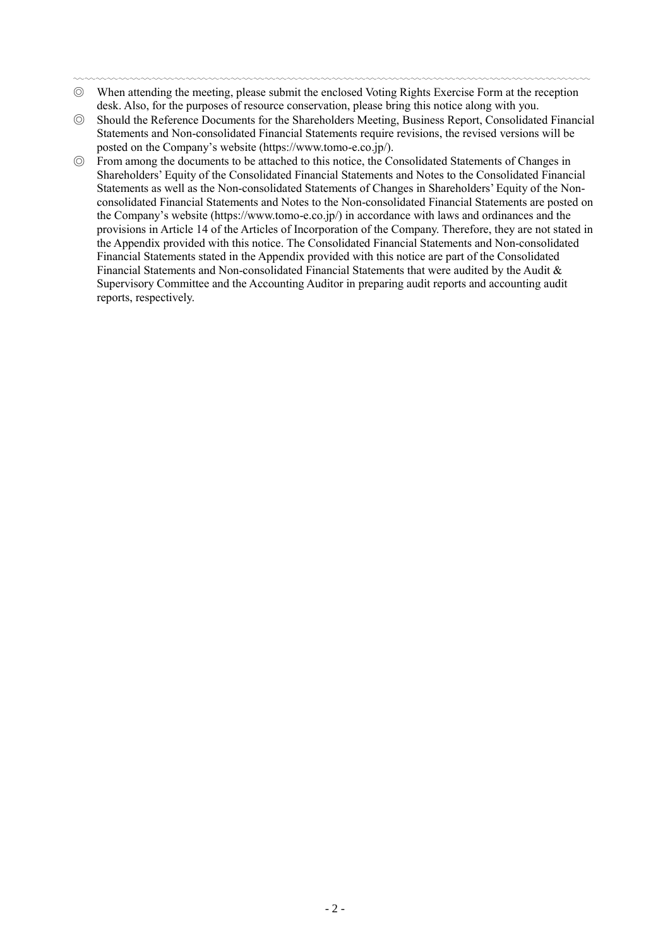- 〰〰〰〰〰〰〰〰〰〰〰〰〰〰〰〰〰〰〰〰〰〰〰〰〰〰〰〰〰〰〰〰〰〰〰〰〰〰〰〰〰〰〰〰〰〰 ◎ When attending the meeting, please submit the enclosed Voting Rights Exercise Form at the reception desk. Also, for the purposes of resource conservation, please bring this notice along with you.
- ◎ Should the Reference Documents for the Shareholders Meeting, Business Report, Consolidated Financial Statements and Non-consolidated Financial Statements require revisions, the revised versions will be posted on the Company's website (https://www.tomo-e.co.jp/).
- ◎ From among the documents to be attached to this notice, the Consolidated Statements of Changes in Shareholders' Equity of the Consolidated Financial Statements and Notes to the Consolidated Financial Statements as well as the Non-consolidated Statements of Changes in Shareholders' Equity of the Nonconsolidated Financial Statements and Notes to the Non-consolidated Financial Statements are posted on the Company's website (https://www.tomo-e.co.jp/) in accordance with laws and ordinances and the provisions in Article 14 of the Articles of Incorporation of the Company. Therefore, they are not stated in the Appendix provided with this notice. The Consolidated Financial Statements and Non-consolidated Financial Statements stated in the Appendix provided with this notice are part of the Consolidated Financial Statements and Non-consolidated Financial Statements that were audited by the Audit & Supervisory Committee and the Accounting Auditor in preparing audit reports and accounting audit reports, respectively.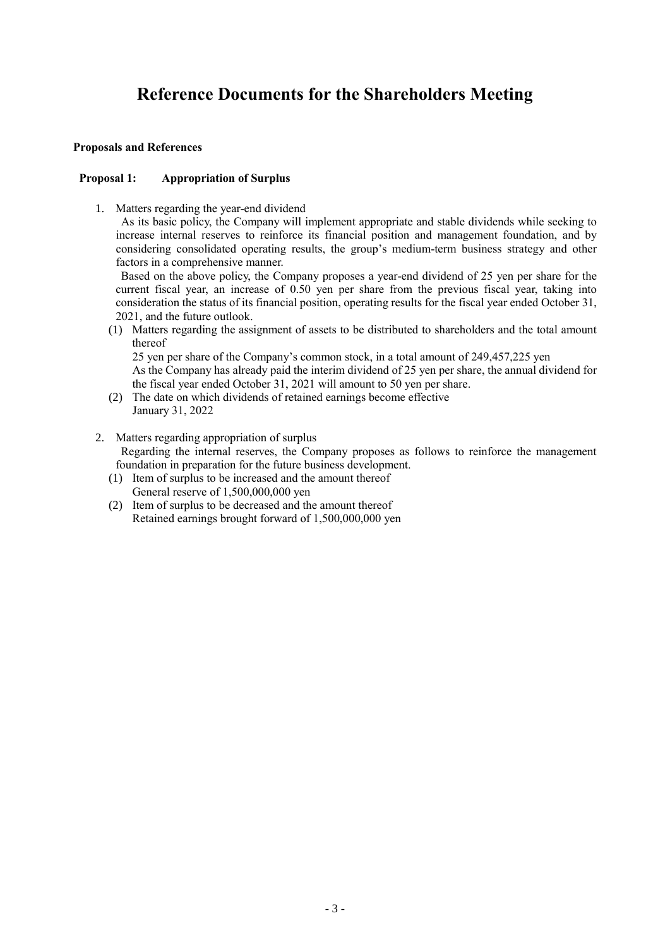# **Reference Documents for the Shareholders Meeting**

### **Proposals and References**

### **Proposal 1: Appropriation of Surplus**

1. Matters regarding the year-end dividend

As its basic policy, the Company will implement appropriate and stable dividends while seeking to increase internal reserves to reinforce its financial position and management foundation, and by considering consolidated operating results, the group's medium-term business strategy and other factors in a comprehensive manner.

Based on the above policy, the Company proposes a year-end dividend of 25 yen per share for the current fiscal year, an increase of 0.50 yen per share from the previous fiscal year, taking into consideration the status of its financial position, operating results for the fiscal year ended October 31, 2021, and the future outlook.

(1) Matters regarding the assignment of assets to be distributed to shareholders and the total amount thereof

25 yen per share of the Company's common stock, in a total amount of 249,457,225 yen

As the Company has already paid the interim dividend of 25 yen per share, the annual dividend for the fiscal year ended October 31, 2021 will amount to 50 yen per share.

- (2) The date on which dividends of retained earnings become effective January 31, 2022
- 2. Matters regarding appropriation of surplus Regarding the internal reserves, the Company proposes as follows to reinforce the management foundation in preparation for the future business development.
	- (1) Item of surplus to be increased and the amount thereof General reserve of 1,500,000,000 yen
	- (2) Item of surplus to be decreased and the amount thereof Retained earnings brought forward of 1,500,000,000 yen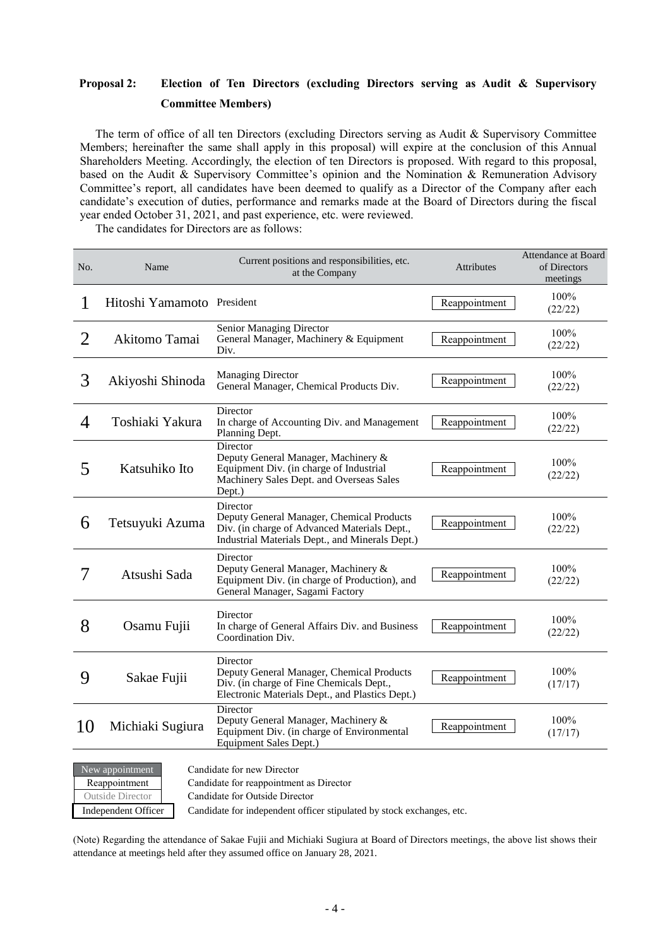## **Proposal 2: Election of Ten Directors (excluding Directors serving as Audit & Supervisory Committee Members)**

The term of office of all ten Directors (excluding Directors serving as Audit & Supervisory Committee Members; hereinafter the same shall apply in this proposal) will expire at the conclusion of this Annual Shareholders Meeting. Accordingly, the election of ten Directors is proposed. With regard to this proposal, based on the Audit & Supervisory Committee's opinion and the Nomination & Remuneration Advisory Committee's report, all candidates have been deemed to qualify as a Director of the Company after each candidate's execution of duties, performance and remarks made at the Board of Directors during the fiscal year ended October 31, 2021, and past experience, etc. were reviewed.

The candidates for Directors are as follows:

| No.            | Name                       | Current positions and responsibilities, etc.<br>at the Company                                                                                           | <b>Attributes</b> | Attendance at Board<br>of Directors<br>meetings |
|----------------|----------------------------|----------------------------------------------------------------------------------------------------------------------------------------------------------|-------------------|-------------------------------------------------|
| 1              | Hitoshi Yamamoto President |                                                                                                                                                          | Reappointment     | 100%<br>(22/22)                                 |
| 2              | Akitomo Tamai              | Senior Managing Director<br>General Manager, Machinery & Equipment<br>Div.                                                                               | Reappointment     | 100%<br>(22/22)                                 |
| 3              | Akiyoshi Shinoda           | <b>Managing Director</b><br>General Manager, Chemical Products Div.                                                                                      | Reappointment     | 100%<br>(22/22)                                 |
| $\overline{4}$ | Toshiaki Yakura            | Director<br>In charge of Accounting Div. and Management<br>Planning Dept.                                                                                | Reappointment     | 100%<br>(22/22)                                 |
| 5              | Katsuhiko Ito              | Director<br>Deputy General Manager, Machinery &<br>Equipment Div. (in charge of Industrial<br>Machinery Sales Dept. and Overseas Sales<br>Dept.)         | Reappointment     | 100%<br>(22/22)                                 |
| 6              | Tetsuyuki Azuma            | Director<br>Deputy General Manager, Chemical Products<br>Div. (in charge of Advanced Materials Dept.,<br>Industrial Materials Dept., and Minerals Dept.) | Reappointment     | 100%<br>(22/22)                                 |
| 7              | Atsushi Sada               | Director<br>Deputy General Manager, Machinery &<br>Equipment Div. (in charge of Production), and<br>General Manager, Sagami Factory                      | Reappointment     | 100%<br>(22/22)                                 |
| 8              | Osamu Fujii                | Director<br>In charge of General Affairs Div. and Business<br>Coordination Div.                                                                          | Reappointment     | 100%<br>(22/22)                                 |
| 9              | Sakae Fujii                | Director<br>Deputy General Manager, Chemical Products<br>Div. (in charge of Fine Chemicals Dept.,<br>Electronic Materials Dept., and Plastics Dept.)     | Reappointment     | 100%<br>(17/17)                                 |
| 10             | Michiaki Sugiura           | Director<br>Deputy General Manager, Machinery &<br>Equipment Div. (in charge of Environmental<br>Equipment Sales Dept.)                                  | Reappointment     | 100%<br>(17/17)                                 |
|                | New appointment            | Candidate for new Director                                                                                                                               |                   |                                                 |



Reappointment Candidate for reappointment as Director

Outside Director Candidate for Outside Director

Independent Officer Candidate for independent officer stipulated by stock exchanges, etc.

(Note) Regarding the attendance of Sakae Fujii and Michiaki Sugiura at Board of Directors meetings, the above list shows their attendance at meetings held after they assumed office on January 28, 2021.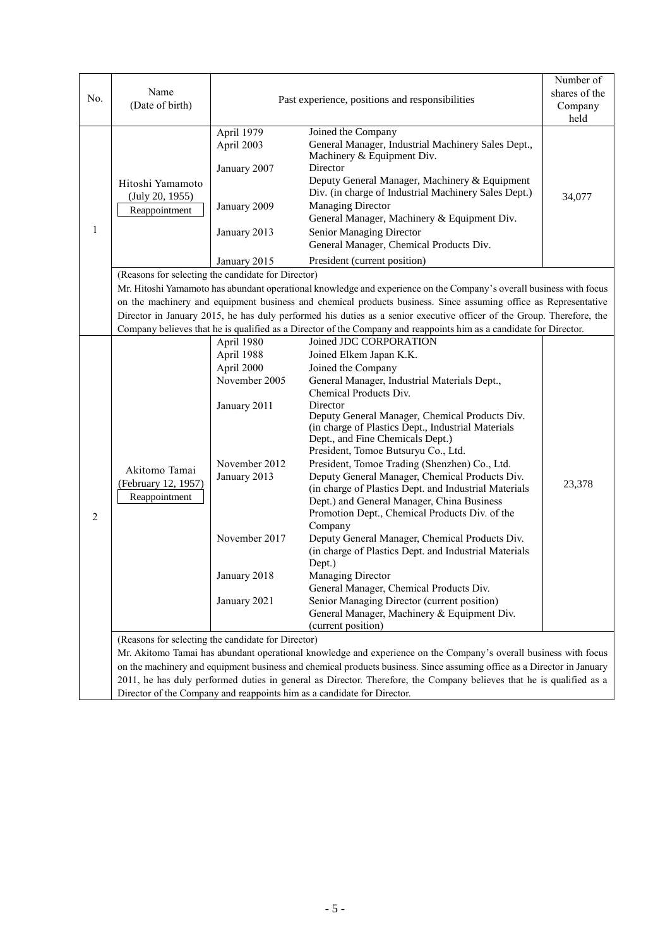| No.          | Name<br>(Date of birth)                                                                                                                                                                                                                                                                                                                                                                                                                                                                                                                     | Past experience, positions and responsibilities                                                                                                           | Number of<br>shares of the<br>Company<br>held                                                                                                                                                                                                                                                                                                                                                                                                                                                                                                                                                                                                                                                                                                                                                                                                                                                                                    |        |  |  |
|--------------|---------------------------------------------------------------------------------------------------------------------------------------------------------------------------------------------------------------------------------------------------------------------------------------------------------------------------------------------------------------------------------------------------------------------------------------------------------------------------------------------------------------------------------------------|-----------------------------------------------------------------------------------------------------------------------------------------------------------|----------------------------------------------------------------------------------------------------------------------------------------------------------------------------------------------------------------------------------------------------------------------------------------------------------------------------------------------------------------------------------------------------------------------------------------------------------------------------------------------------------------------------------------------------------------------------------------------------------------------------------------------------------------------------------------------------------------------------------------------------------------------------------------------------------------------------------------------------------------------------------------------------------------------------------|--------|--|--|
| $\mathbf{1}$ | Hitoshi Yamamoto<br>(July 20, 1955)<br>Reappointment                                                                                                                                                                                                                                                                                                                                                                                                                                                                                        | April 1979<br>April 2003<br>January 2007<br>January 2009<br>January 2013<br>January 2015                                                                  | Joined the Company<br>General Manager, Industrial Machinery Sales Dept.,<br>Machinery & Equipment Div.<br>Director<br>Deputy General Manager, Machinery & Equipment<br>Div. (in charge of Industrial Machinery Sales Dept.)<br><b>Managing Director</b><br>General Manager, Machinery & Equipment Div.<br>Senior Managing Director<br>General Manager, Chemical Products Div.<br>President (current position)                                                                                                                                                                                                                                                                                                                                                                                                                                                                                                                    | 34,077 |  |  |
|              | (Reasons for selecting the candidate for Director)<br>Mr. Hitoshi Yamamoto has abundant operational knowledge and experience on the Company's overall business with focus<br>on the machinery and equipment business and chemical products business. Since assuming office as Representative<br>Director in January 2015, he has duly performed his duties as a senior executive officer of the Group. Therefore, the<br>Company believes that he is qualified as a Director of the Company and reappoints him as a candidate for Director. |                                                                                                                                                           |                                                                                                                                                                                                                                                                                                                                                                                                                                                                                                                                                                                                                                                                                                                                                                                                                                                                                                                                  |        |  |  |
| 2            | Akitomo Tamai<br>(February 12, 1957)<br>Reappointment<br>(Reasons for selecting the candidate for Director)                                                                                                                                                                                                                                                                                                                                                                                                                                 | April 1980<br>April 1988<br>April 2000<br>November 2005<br>January 2011<br>November 2012<br>January 2013<br>November 2017<br>January 2018<br>January 2021 | Joined JDC CORPORATION<br>Joined Elkem Japan K.K.<br>Joined the Company<br>General Manager, Industrial Materials Dept.,<br>Chemical Products Div.<br>Director<br>Deputy General Manager, Chemical Products Div.<br>(in charge of Plastics Dept., Industrial Materials<br>Dept., and Fine Chemicals Dept.)<br>President, Tomoe Butsuryu Co., Ltd.<br>President, Tomoe Trading (Shenzhen) Co., Ltd.<br>Deputy General Manager, Chemical Products Div.<br>(in charge of Plastics Dept. and Industrial Materials<br>Dept.) and General Manager, China Business<br>Promotion Dept., Chemical Products Div. of the<br>Company<br>Deputy General Manager, Chemical Products Div.<br>(in charge of Plastics Dept. and Industrial Materials<br>Dept.)<br>Managing Director<br>General Manager, Chemical Products Div.<br>Senior Managing Director (current position)<br>General Manager, Machinery & Equipment Div.<br>(current position) | 23,378 |  |  |
|              |                                                                                                                                                                                                                                                                                                                                                                                                                                                                                                                                             |                                                                                                                                                           | Mr. Akitomo Tamai has abundant operational knowledge and experience on the Company's overall business with focus<br>on the machinery and equipment business and chemical products business. Since assuming office as a Director in January<br>2011, he has duly performed duties in general as Director. Therefore, the Company believes that he is qualified as a<br>Director of the Company and reappoints him as a candidate for Director.                                                                                                                                                                                                                                                                                                                                                                                                                                                                                    |        |  |  |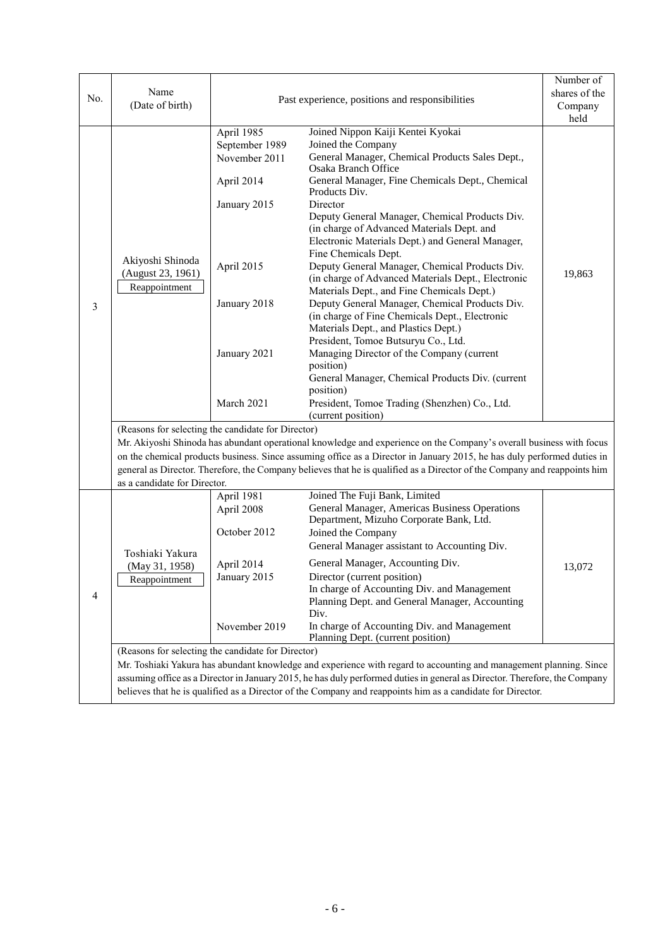|     |                                                                                                                                                                           |                                                 |                                                                                                                           | Number of |  |  |  |
|-----|---------------------------------------------------------------------------------------------------------------------------------------------------------------------------|-------------------------------------------------|---------------------------------------------------------------------------------------------------------------------------|-----------|--|--|--|
| No. | Name<br>(Date of birth)                                                                                                                                                   |                                                 | shares of the                                                                                                             |           |  |  |  |
|     |                                                                                                                                                                           | Past experience, positions and responsibilities | Company                                                                                                                   |           |  |  |  |
|     |                                                                                                                                                                           |                                                 |                                                                                                                           | held      |  |  |  |
|     |                                                                                                                                                                           | April 1985                                      | Joined Nippon Kaiji Kentei Kyokai                                                                                         |           |  |  |  |
|     |                                                                                                                                                                           | September 1989                                  | Joined the Company                                                                                                        |           |  |  |  |
|     |                                                                                                                                                                           | November 2011                                   | General Manager, Chemical Products Sales Dept.,<br><b>Osaka Branch Office</b>                                             |           |  |  |  |
|     |                                                                                                                                                                           | April 2014                                      | General Manager, Fine Chemicals Dept., Chemical<br>Products Div.                                                          |           |  |  |  |
|     |                                                                                                                                                                           | January 2015                                    | Director                                                                                                                  |           |  |  |  |
|     |                                                                                                                                                                           |                                                 | Deputy General Manager, Chemical Products Div.                                                                            |           |  |  |  |
|     |                                                                                                                                                                           |                                                 | (in charge of Advanced Materials Dept. and                                                                                |           |  |  |  |
|     |                                                                                                                                                                           |                                                 | Electronic Materials Dept.) and General Manager,                                                                          |           |  |  |  |
|     | Akiyoshi Shinoda                                                                                                                                                          |                                                 | Fine Chemicals Dept.                                                                                                      |           |  |  |  |
|     | (August 23, 1961)                                                                                                                                                         | April 2015                                      | Deputy General Manager, Chemical Products Div.                                                                            | 19,863    |  |  |  |
|     |                                                                                                                                                                           |                                                 | (in charge of Advanced Materials Dept., Electronic                                                                        |           |  |  |  |
|     | Reappointment                                                                                                                                                             |                                                 | Materials Dept., and Fine Chemicals Dept.)                                                                                |           |  |  |  |
| 3   |                                                                                                                                                                           | January 2018                                    | Deputy General Manager, Chemical Products Div.                                                                            |           |  |  |  |
|     |                                                                                                                                                                           |                                                 | (in charge of Fine Chemicals Dept., Electronic                                                                            |           |  |  |  |
|     |                                                                                                                                                                           |                                                 | Materials Dept., and Plastics Dept.)                                                                                      |           |  |  |  |
|     |                                                                                                                                                                           |                                                 | President, Tomoe Butsuryu Co., Ltd.                                                                                       |           |  |  |  |
|     |                                                                                                                                                                           | January 2021                                    | Managing Director of the Company (current                                                                                 |           |  |  |  |
|     |                                                                                                                                                                           |                                                 | position)<br>General Manager, Chemical Products Div. (current                                                             |           |  |  |  |
|     |                                                                                                                                                                           |                                                 | position)                                                                                                                 |           |  |  |  |
|     |                                                                                                                                                                           | March 2021                                      | President, Tomoe Trading (Shenzhen) Co., Ltd.                                                                             |           |  |  |  |
|     |                                                                                                                                                                           |                                                 | (current position)                                                                                                        |           |  |  |  |
|     |                                                                                                                                                                           |                                                 |                                                                                                                           |           |  |  |  |
|     | (Reasons for selecting the candidate for Director)<br>Mr. Akiyoshi Shinoda has abundant operational knowledge and experience on the Company's overall business with focus |                                                 |                                                                                                                           |           |  |  |  |
|     | on the chemical products business. Since assuming office as a Director in January 2015, he has duly performed duties in                                                   |                                                 |                                                                                                                           |           |  |  |  |
|     |                                                                                                                                                                           |                                                 | general as Director. Therefore, the Company believes that he is qualified as a Director of the Company and reappoints him |           |  |  |  |
|     | as a candidate for Director.                                                                                                                                              |                                                 |                                                                                                                           |           |  |  |  |
|     |                                                                                                                                                                           | April 1981                                      | Joined The Fuji Bank, Limited                                                                                             |           |  |  |  |
|     |                                                                                                                                                                           | April 2008                                      | General Manager, Americas Business Operations                                                                             |           |  |  |  |
|     |                                                                                                                                                                           |                                                 | Department, Mizuho Corporate Bank, Ltd.                                                                                   |           |  |  |  |
|     |                                                                                                                                                                           | October 2012                                    | Joined the Company                                                                                                        |           |  |  |  |
|     |                                                                                                                                                                           |                                                 | General Manager assistant to Accounting Div.                                                                              |           |  |  |  |
|     | Toshiaki Yakura                                                                                                                                                           | April 2014                                      | General Manager, Accounting Div.                                                                                          |           |  |  |  |
|     | (May 31, 1958)                                                                                                                                                            | January 2015                                    | Director (current position)                                                                                               | 13,072    |  |  |  |
|     | Reappointment                                                                                                                                                             |                                                 | In charge of Accounting Div. and Management                                                                               |           |  |  |  |
| 4   |                                                                                                                                                                           |                                                 | Planning Dept. and General Manager, Accounting                                                                            |           |  |  |  |
|     |                                                                                                                                                                           |                                                 | Div.                                                                                                                      |           |  |  |  |
|     |                                                                                                                                                                           | November 2019                                   | In charge of Accounting Div. and Management                                                                               |           |  |  |  |
|     |                                                                                                                                                                           |                                                 | Planning Dept. (current position)                                                                                         |           |  |  |  |
|     | (Reasons for selecting the candidate for Director)                                                                                                                        |                                                 |                                                                                                                           |           |  |  |  |
|     |                                                                                                                                                                           |                                                 | Mr. Toshiaki Yakura has abundant knowledge and experience with regard to accounting and management planning. Since        |           |  |  |  |
|     | assuming office as a Director in January 2015, he has duly performed duties in general as Director. Therefore, the Company                                                |                                                 |                                                                                                                           |           |  |  |  |
|     |                                                                                                                                                                           |                                                 | believes that he is qualified as a Director of the Company and reappoints him as a candidate for Director.                |           |  |  |  |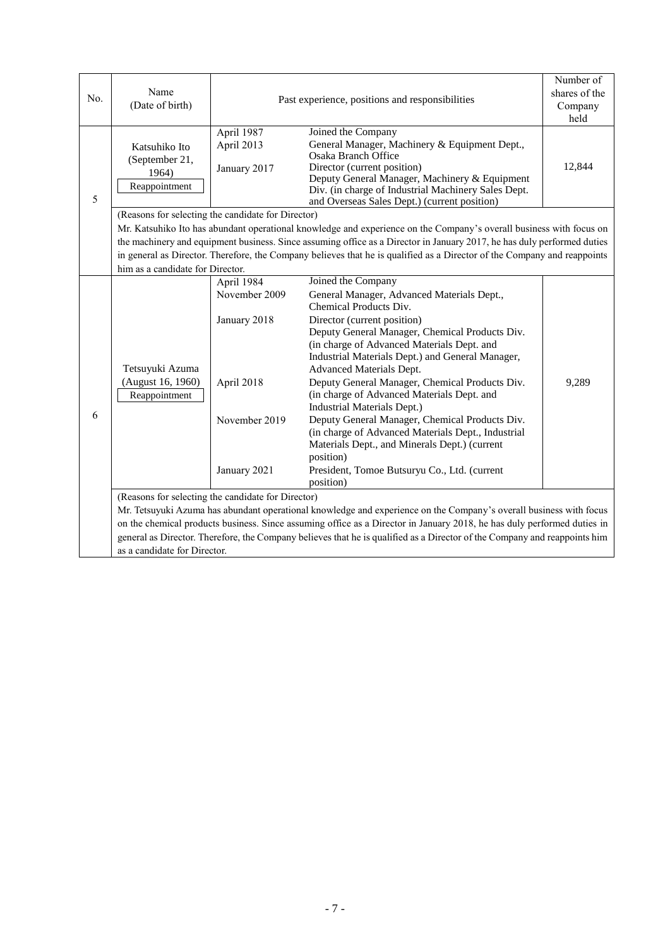| No. | Name<br>(Date of birth)                                                                                                                                                                                                                                                                                                                                                                                                                                                                                                                                                                                                                                                                                                                                                                                                                     | Past experience, positions and responsibilities | Number of<br>shares of the<br>Company<br>held                                                                                                                                                                                                                                            |        |  |  |
|-----|---------------------------------------------------------------------------------------------------------------------------------------------------------------------------------------------------------------------------------------------------------------------------------------------------------------------------------------------------------------------------------------------------------------------------------------------------------------------------------------------------------------------------------------------------------------------------------------------------------------------------------------------------------------------------------------------------------------------------------------------------------------------------------------------------------------------------------------------|-------------------------------------------------|------------------------------------------------------------------------------------------------------------------------------------------------------------------------------------------------------------------------------------------------------------------------------------------|--------|--|--|
| 5   | Katsuhiko Ito<br>(September 21,<br>1964)<br>Reappointment                                                                                                                                                                                                                                                                                                                                                                                                                                                                                                                                                                                                                                                                                                                                                                                   | April 1987<br>April 2013<br>January 2017        | Joined the Company<br>General Manager, Machinery & Equipment Dept.,<br><b>Osaka Branch Office</b><br>Director (current position)<br>Deputy General Manager, Machinery & Equipment<br>Div. (in charge of Industrial Machinery Sales Dept.<br>and Overseas Sales Dept.) (current position) | 12,844 |  |  |
|     | (Reasons for selecting the candidate for Director)<br>Mr. Katsuhiko Ito has abundant operational knowledge and experience on the Company's overall business with focus on<br>the machinery and equipment business. Since assuming office as a Director in January 2017, he has duly performed duties<br>in general as Director. Therefore, the Company believes that he is qualified as a Director of the Company and reappoints<br>him as a candidate for Director.                                                                                                                                                                                                                                                                                                                                                                        |                                                 |                                                                                                                                                                                                                                                                                          |        |  |  |
| 6   | Joined the Company<br>April 1984<br>November 2009<br>General Manager, Advanced Materials Dept.,<br>Chemical Products Div.<br>Director (current position)<br>January 2018<br>Deputy General Manager, Chemical Products Div.<br>(in charge of Advanced Materials Dept. and<br>Industrial Materials Dept.) and General Manager,<br>Tetsuyuki Azuma<br>Advanced Materials Dept.<br>(August 16, 1960)<br>Deputy General Manager, Chemical Products Div.<br>9,289<br>April 2018<br>(in charge of Advanced Materials Dept. and<br>Reappointment<br>Industrial Materials Dept.)<br>Deputy General Manager, Chemical Products Div.<br>November 2019<br>(in charge of Advanced Materials Dept., Industrial<br>Materials Dept., and Minerals Dept.) (current<br>position)<br>President, Tomoe Butsuryu Co., Ltd. (current<br>January 2021<br>position) |                                                 |                                                                                                                                                                                                                                                                                          |        |  |  |
|     | (Reasons for selecting the candidate for Director)<br>Mr. Tetsuyuki Azuma has abundant operational knowledge and experience on the Company's overall business with focus<br>on the chemical products business. Since assuming office as a Director in January 2018, he has duly performed duties in<br>general as Director. Therefore, the Company believes that he is qualified as a Director of the Company and reappoints him<br>as a candidate for Director.                                                                                                                                                                                                                                                                                                                                                                            |                                                 |                                                                                                                                                                                                                                                                                          |        |  |  |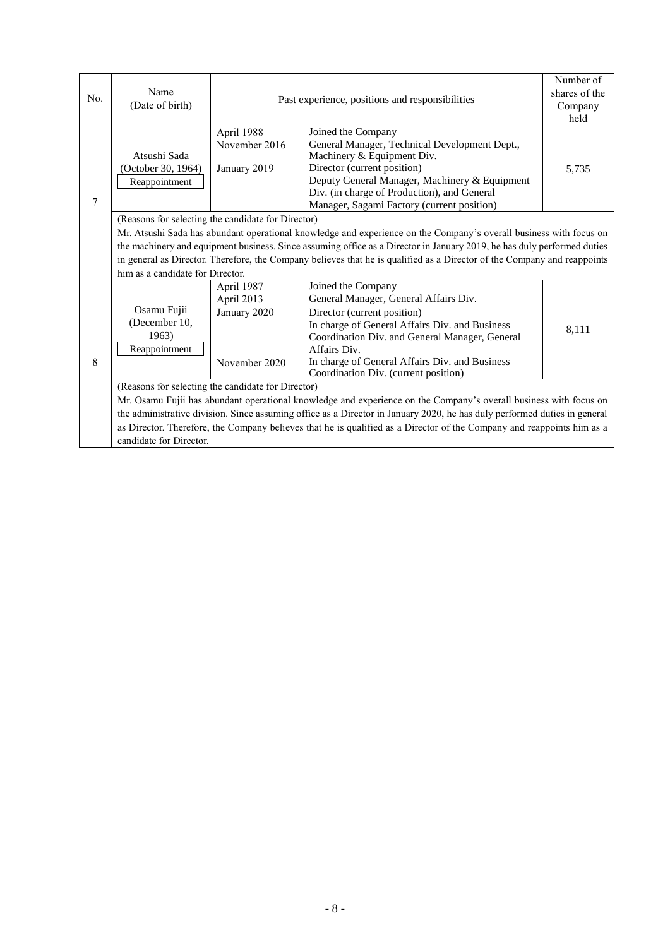| No. | Name<br>(Date of birth)                                                                                                                                                                                                                                                                                                                                                                                                                                             | Past experience, positions and responsibilities           | Number of<br>shares of the                                                                                                                                                                                                                                                                               |       |  |  |  |
|-----|---------------------------------------------------------------------------------------------------------------------------------------------------------------------------------------------------------------------------------------------------------------------------------------------------------------------------------------------------------------------------------------------------------------------------------------------------------------------|-----------------------------------------------------------|----------------------------------------------------------------------------------------------------------------------------------------------------------------------------------------------------------------------------------------------------------------------------------------------------------|-------|--|--|--|
|     |                                                                                                                                                                                                                                                                                                                                                                                                                                                                     |                                                           | Company<br>held                                                                                                                                                                                                                                                                                          |       |  |  |  |
| 7   | Atsushi Sada<br>(October 30, 1964)<br>Reappointment                                                                                                                                                                                                                                                                                                                                                                                                                 | April 1988<br>November 2016<br>January 2019               | Joined the Company<br>General Manager, Technical Development Dept.,<br>Machinery & Equipment Div.<br>Director (current position)<br>Deputy General Manager, Machinery & Equipment<br>Div. (in charge of Production), and General<br>Manager, Sagami Factory (current position)                           | 5,735 |  |  |  |
|     | (Reasons for selecting the candidate for Director)<br>Mr. Atsushi Sada has abundant operational knowledge and experience on the Company's overall business with focus on<br>the machinery and equipment business. Since assuming office as a Director in January 2019, he has duly performed duties<br>in general as Director. Therefore, the Company believes that he is qualified as a Director of the Company and reappoints<br>him as a candidate for Director. |                                                           |                                                                                                                                                                                                                                                                                                          |       |  |  |  |
| 8   | Osamu Fujii<br>(December 10,<br>1963)<br>Reappointment                                                                                                                                                                                                                                                                                                                                                                                                              | April 1987<br>April 2013<br>January 2020<br>November 2020 | Joined the Company<br>General Manager, General Affairs Div.<br>Director (current position)<br>In charge of General Affairs Div. and Business<br>Coordination Div. and General Manager, General<br>Affairs Div.<br>In charge of General Affairs Div. and Business<br>Coordination Div. (current position) | 8,111 |  |  |  |
|     | (Reasons for selecting the candidate for Director)<br>Mr. Osamu Fujii has abundant operational knowledge and experience on the Company's overall business with focus on<br>the administrative division. Since assuming office as a Director in January 2020, he has duly performed duties in general<br>as Director. Therefore, the Company believes that he is qualified as a Director of the Company and reappoints him as a<br>candidate for Director.           |                                                           |                                                                                                                                                                                                                                                                                                          |       |  |  |  |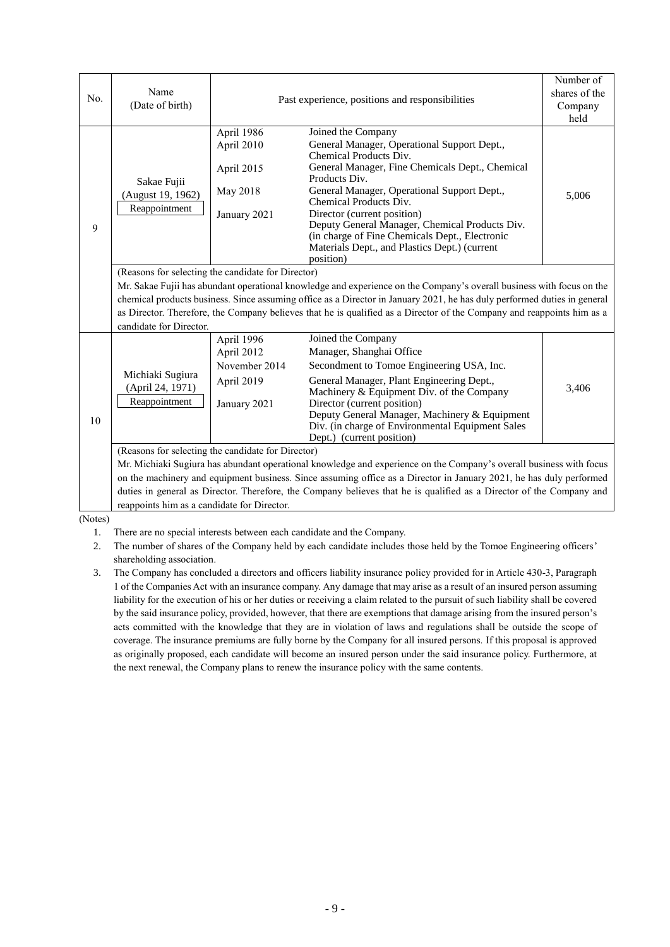| No. | Name<br>(Date of birth)                                                                                                                                                                                                                                                                                                                                                                                                                                                 | Past experience, positions and responsibilities                         | Number of<br>shares of the<br>Company<br>held                                                                                                                                                                                                                                                                                                                                                                                             |       |  |  |
|-----|-------------------------------------------------------------------------------------------------------------------------------------------------------------------------------------------------------------------------------------------------------------------------------------------------------------------------------------------------------------------------------------------------------------------------------------------------------------------------|-------------------------------------------------------------------------|-------------------------------------------------------------------------------------------------------------------------------------------------------------------------------------------------------------------------------------------------------------------------------------------------------------------------------------------------------------------------------------------------------------------------------------------|-------|--|--|
| 9   | Sakae Fujii<br>(August 19, 1962)<br>Reappointment                                                                                                                                                                                                                                                                                                                                                                                                                       | April 1986<br>April 2010<br>April 2015<br>May 2018<br>January 2021      | Joined the Company<br>General Manager, Operational Support Dept.,<br>Chemical Products Div.<br>General Manager, Fine Chemicals Dept., Chemical<br>Products Div.<br>General Manager, Operational Support Dept.,<br>Chemical Products Div.<br>Director (current position)<br>Deputy General Manager, Chemical Products Div.<br>(in charge of Fine Chemicals Dept., Electronic<br>Materials Dept., and Plastics Dept.) (current<br>position) | 5,006 |  |  |
|     | (Reasons for selecting the candidate for Director)<br>Mr. Sakae Fujii has abundant operational knowledge and experience on the Company's overall business with focus on the<br>chemical products business. Since assuming office as a Director in January 2021, he has duly performed duties in general<br>as Director. Therefore, the Company believes that he is qualified as a Director of the Company and reappoints him as a<br>candidate for Director.            |                                                                         |                                                                                                                                                                                                                                                                                                                                                                                                                                           |       |  |  |
| 10  | Michiaki Sugiura<br>(April 24, 1971)<br>Reappointment                                                                                                                                                                                                                                                                                                                                                                                                                   | April 1996<br>April 2012<br>November 2014<br>April 2019<br>January 2021 | Joined the Company<br>Manager, Shanghai Office<br>Secondment to Tomoe Engineering USA, Inc.<br>General Manager, Plant Engineering Dept.,<br>Machinery & Equipment Div. of the Company<br>Director (current position)<br>Deputy General Manager, Machinery & Equipment<br>Div. (in charge of Environmental Equipment Sales<br>Dept.) (current position)                                                                                    | 3,406 |  |  |
|     | (Reasons for selecting the candidate for Director)<br>Mr. Michiaki Sugiura has abundant operational knowledge and experience on the Company's overall business with focus<br>on the machinery and equipment business. Since assuming office as a Director in January 2021, he has duly performed<br>duties in general as Director. Therefore, the Company believes that he is qualified as a Director of the Company and<br>reappoints him as a candidate for Director. |                                                                         |                                                                                                                                                                                                                                                                                                                                                                                                                                           |       |  |  |

(Notes)

1. There are no special interests between each candidate and the Company.

2. The number of shares of the Company held by each candidate includes those held by the Tomoe Engineering officers' shareholding association.

3. The Company has concluded a directors and officers liability insurance policy provided for in Article 430-3, Paragraph 1 of the Companies Act with an insurance company. Any damage that may arise as a result of an insured person assuming liability for the execution of his or her duties or receiving a claim related to the pursuit of such liability shall be covered by the said insurance policy, provided, however, that there are exemptions that damage arising from the insured person's acts committed with the knowledge that they are in violation of laws and regulations shall be outside the scope of coverage. The insurance premiums are fully borne by the Company for all insured persons. If this proposal is approved as originally proposed, each candidate will become an insured person under the said insurance policy. Furthermore, at the next renewal, the Company plans to renew the insurance policy with the same contents.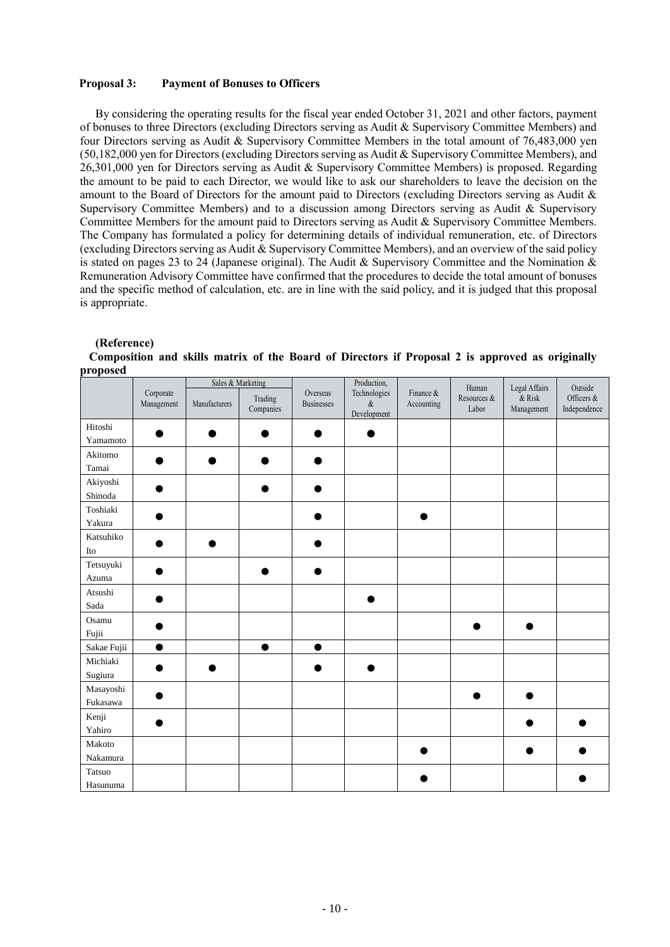### **Proposal 3: Payment of Bonuses to Officers**

By considering the operating results for the fiscal year ended October 31, 2021 and other factors, payment of bonuses to three Directors (excluding Directors serving as Audit & Supervisory Committee Members) and four Directors serving as Audit & Supervisory Committee Members in the total amount of 76,483,000 yen (50,182,000 yen for Directors (excluding Directors serving as Audit & Supervisory Committee Members), and 26,301,000 yen for Directors serving as Audit & Supervisory Committee Members) is proposed. Regarding the amount to be paid to each Director, we would like to ask our shareholders to leave the decision on the amount to the Board of Directors for the amount paid to Directors (excluding Directors serving as Audit & Supervisory Committee Members) and to a discussion among Directors serving as Audit & Supervisory Committee Members for the amount paid to Directors serving as Audit & Supervisory Committee Members. The Company has formulated a policy for determining details of individual remuneration, etc. of Directors (excluding Directors serving as Audit & Supervisory Committee Members), and an overview of the said policy is stated on pages 23 to 24 (Japanese original). The Audit & Supervisory Committee and the Nomination & Remuneration Advisory Committee have confirmed that the procedures to decide the total amount of bonuses and the specific method of calculation, etc. are in line with the said policy, and it is judged that this proposal is appropriate.

| proposeu                       |                         |               |                                           |                               |                                                    |                         |                               |                                          |                                       |
|--------------------------------|-------------------------|---------------|-------------------------------------------|-------------------------------|----------------------------------------------------|-------------------------|-------------------------------|------------------------------------------|---------------------------------------|
|                                | Corporate<br>Management | Manufacturers | Sales & Marketing<br>Trading<br>Companies | Overseas<br><b>Businesses</b> | Production,<br>Technologies<br>$\&$<br>Development | Finance &<br>Accounting | Human<br>Resources &<br>Labor | Legal Affairs<br>$\&$ Risk<br>Management | Outside<br>Officers &<br>Independence |
| Hitoshi                        |                         |               |                                           |                               |                                                    |                         |                               |                                          |                                       |
| Yamamoto                       |                         |               |                                           |                               |                                                    |                         |                               |                                          |                                       |
| Akitomo                        |                         |               |                                           |                               |                                                    |                         |                               |                                          |                                       |
| Tamai                          |                         |               |                                           |                               |                                                    |                         |                               |                                          |                                       |
| Akiyoshi                       |                         |               |                                           |                               |                                                    |                         |                               |                                          |                                       |
| Shinoda                        |                         |               |                                           |                               |                                                    |                         |                               |                                          |                                       |
| Toshiaki                       |                         |               |                                           |                               |                                                    |                         |                               |                                          |                                       |
| Yakura                         |                         |               |                                           |                               |                                                    |                         |                               |                                          |                                       |
| Katsuhiko                      |                         |               |                                           |                               |                                                    |                         |                               |                                          |                                       |
| Ito                            |                         |               |                                           |                               |                                                    |                         |                               |                                          |                                       |
| Tetsuyuki                      |                         |               |                                           |                               |                                                    |                         |                               |                                          |                                       |
| Azuma                          |                         |               |                                           |                               |                                                    |                         |                               |                                          |                                       |
| Atsushi                        |                         |               |                                           |                               |                                                    |                         |                               |                                          |                                       |
| $\operatorname{\mathsf{Sada}}$ |                         |               |                                           |                               |                                                    |                         |                               |                                          |                                       |
| Osamu                          |                         |               |                                           |                               |                                                    |                         |                               |                                          |                                       |
| Fujii                          |                         |               |                                           |                               |                                                    |                         |                               |                                          |                                       |
| Sakae Fujii                    | $\bullet$               |               | $\bullet$                                 | $\bullet$                     |                                                    |                         |                               |                                          |                                       |
| Michiaki                       |                         |               |                                           |                               |                                                    |                         |                               |                                          |                                       |
| Sugiura                        |                         |               |                                           |                               |                                                    |                         |                               |                                          |                                       |
| Masayoshi                      |                         |               |                                           |                               |                                                    |                         |                               |                                          |                                       |
| Fukasawa                       |                         |               |                                           |                               |                                                    |                         |                               |                                          |                                       |
| Kenji                          |                         |               |                                           |                               |                                                    |                         |                               |                                          |                                       |
| Yahiro                         |                         |               |                                           |                               |                                                    |                         |                               |                                          |                                       |
| Makoto                         |                         |               |                                           |                               |                                                    |                         |                               |                                          |                                       |
| Nakamura                       |                         |               |                                           |                               |                                                    |                         |                               |                                          |                                       |
| Tatsuo                         |                         |               |                                           |                               |                                                    |                         |                               |                                          |                                       |
| Hasunuma                       |                         |               |                                           |                               |                                                    |                         |                               |                                          |                                       |

**(Reference) Composition and skills matrix of the Board of Directors if Proposal 2 is approved as originally proposed**